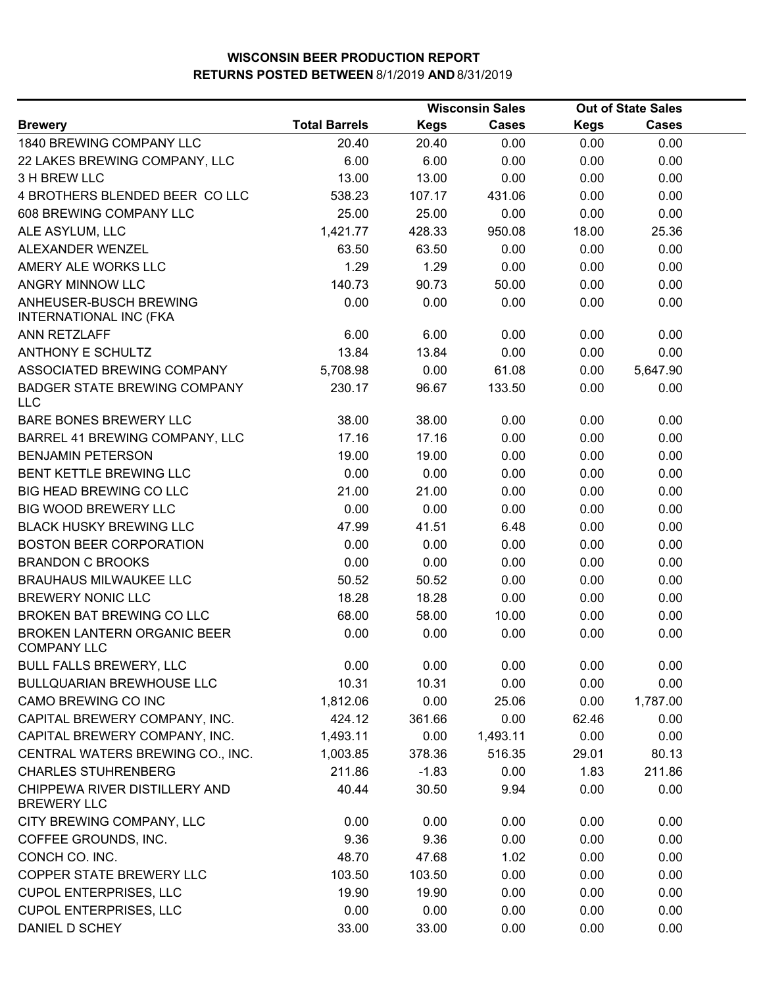|                                                          | <b>Wisconsin Sales</b> |             |              | <b>Out of State Sales</b> |              |  |
|----------------------------------------------------------|------------------------|-------------|--------------|---------------------------|--------------|--|
| <b>Brewery</b>                                           | <b>Total Barrels</b>   | <b>Kegs</b> | <b>Cases</b> | <b>Kegs</b>               | <b>Cases</b> |  |
| 1840 BREWING COMPANY LLC                                 | 20.40                  | 20.40       | 0.00         | 0.00                      | 0.00         |  |
| 22 LAKES BREWING COMPANY, LLC                            | 6.00                   | 6.00        | 0.00         | 0.00                      | 0.00         |  |
| 3 H BREW LLC                                             | 13.00                  | 13.00       | 0.00         | 0.00                      | 0.00         |  |
| 4 BROTHERS BLENDED BEER COLLC                            | 538.23                 | 107.17      | 431.06       | 0.00                      | 0.00         |  |
| 608 BREWING COMPANY LLC                                  | 25.00                  | 25.00       | 0.00         | 0.00                      | 0.00         |  |
| ALE ASYLUM, LLC                                          | 1,421.77               | 428.33      | 950.08       | 18.00                     | 25.36        |  |
| ALEXANDER WENZEL                                         | 63.50                  | 63.50       | 0.00         | 0.00                      | 0.00         |  |
| AMERY ALE WORKS LLC                                      | 1.29                   | 1.29        | 0.00         | 0.00                      | 0.00         |  |
| ANGRY MINNOW LLC                                         | 140.73                 | 90.73       | 50.00        | 0.00                      | 0.00         |  |
| ANHEUSER-BUSCH BREWING<br><b>INTERNATIONAL INC (FKA</b>  | 0.00                   | 0.00        | 0.00         | 0.00                      | 0.00         |  |
| ANN RETZLAFF                                             | 6.00                   | 6.00        | 0.00         | 0.00                      | 0.00         |  |
| <b>ANTHONY E SCHULTZ</b>                                 | 13.84                  | 13.84       | 0.00         | 0.00                      | 0.00         |  |
| ASSOCIATED BREWING COMPANY                               | 5,708.98               | 0.00        | 61.08        | 0.00                      | 5,647.90     |  |
| <b>BADGER STATE BREWING COMPANY</b><br><b>LLC</b>        | 230.17                 | 96.67       | 133.50       | 0.00                      | 0.00         |  |
| BARE BONES BREWERY LLC                                   | 38.00                  | 38.00       | 0.00         | 0.00                      | 0.00         |  |
| BARREL 41 BREWING COMPANY, LLC                           | 17.16                  | 17.16       | 0.00         | 0.00                      | 0.00         |  |
| <b>BENJAMIN PETERSON</b>                                 | 19.00                  | 19.00       | 0.00         | 0.00                      | 0.00         |  |
| BENT KETTLE BREWING LLC                                  | 0.00                   | 0.00        | 0.00         | 0.00                      | 0.00         |  |
| <b>BIG HEAD BREWING CO LLC</b>                           | 21.00                  | 21.00       | 0.00         | 0.00                      | 0.00         |  |
| <b>BIG WOOD BREWERY LLC</b>                              | 0.00                   | 0.00        | 0.00         | 0.00                      | 0.00         |  |
| <b>BLACK HUSKY BREWING LLC</b>                           | 47.99                  | 41.51       | 6.48         | 0.00                      | 0.00         |  |
| <b>BOSTON BEER CORPORATION</b>                           | 0.00                   | 0.00        | 0.00         | 0.00                      | 0.00         |  |
| <b>BRANDON C BROOKS</b>                                  | 0.00                   | 0.00        | 0.00         | 0.00                      | 0.00         |  |
| <b>BRAUHAUS MILWAUKEE LLC</b>                            | 50.52                  | 50.52       | 0.00         | 0.00                      | 0.00         |  |
| <b>BREWERY NONIC LLC</b>                                 | 18.28                  | 18.28       | 0.00         | 0.00                      | 0.00         |  |
| BROKEN BAT BREWING CO LLC                                | 68.00                  | 58.00       | 10.00        | 0.00                      | 0.00         |  |
| <b>BROKEN LANTERN ORGANIC BEER</b><br><b>COMPANY LLC</b> | 0.00                   | 0.00        | 0.00         | 0.00                      | 0.00         |  |
| <b>BULL FALLS BREWERY, LLC</b>                           | 0.00                   | 0.00        | 0.00         | 0.00                      | 0.00         |  |
| <b>BULLQUARIAN BREWHOUSE LLC</b>                         | 10.31                  | 10.31       | 0.00         | 0.00                      | 0.00         |  |
| CAMO BREWING CO INC                                      | 1,812.06               | 0.00        | 25.06        | 0.00                      | 1,787.00     |  |
| CAPITAL BREWERY COMPANY, INC.                            | 424.12                 | 361.66      | 0.00         | 62.46                     | 0.00         |  |
| CAPITAL BREWERY COMPANY, INC.                            | 1,493.11               | 0.00        | 1,493.11     | 0.00                      | 0.00         |  |
| CENTRAL WATERS BREWING CO., INC.                         | 1,003.85               | 378.36      | 516.35       | 29.01                     | 80.13        |  |
| <b>CHARLES STUHRENBERG</b>                               | 211.86                 | $-1.83$     | 0.00         | 1.83                      | 211.86       |  |
| CHIPPEWA RIVER DISTILLERY AND<br><b>BREWERY LLC</b>      | 40.44                  | 30.50       | 9.94         | 0.00                      | 0.00         |  |
| CITY BREWING COMPANY, LLC                                | 0.00                   | 0.00        | 0.00         | 0.00                      | 0.00         |  |
| COFFEE GROUNDS, INC.                                     | 9.36                   | 9.36        | 0.00         | 0.00                      | 0.00         |  |
| CONCH CO. INC.                                           | 48.70                  | 47.68       | 1.02         | 0.00                      | 0.00         |  |
| COPPER STATE BREWERY LLC                                 | 103.50                 | 103.50      | 0.00         | 0.00                      | 0.00         |  |
| <b>CUPOL ENTERPRISES, LLC</b>                            | 19.90                  | 19.90       | 0.00         | 0.00                      | 0.00         |  |
| <b>CUPOL ENTERPRISES, LLC</b>                            | 0.00                   | 0.00        | 0.00         | 0.00                      | 0.00         |  |
| DANIEL D SCHEY                                           | 33.00                  | 33.00       | 0.00         | 0.00                      | 0.00         |  |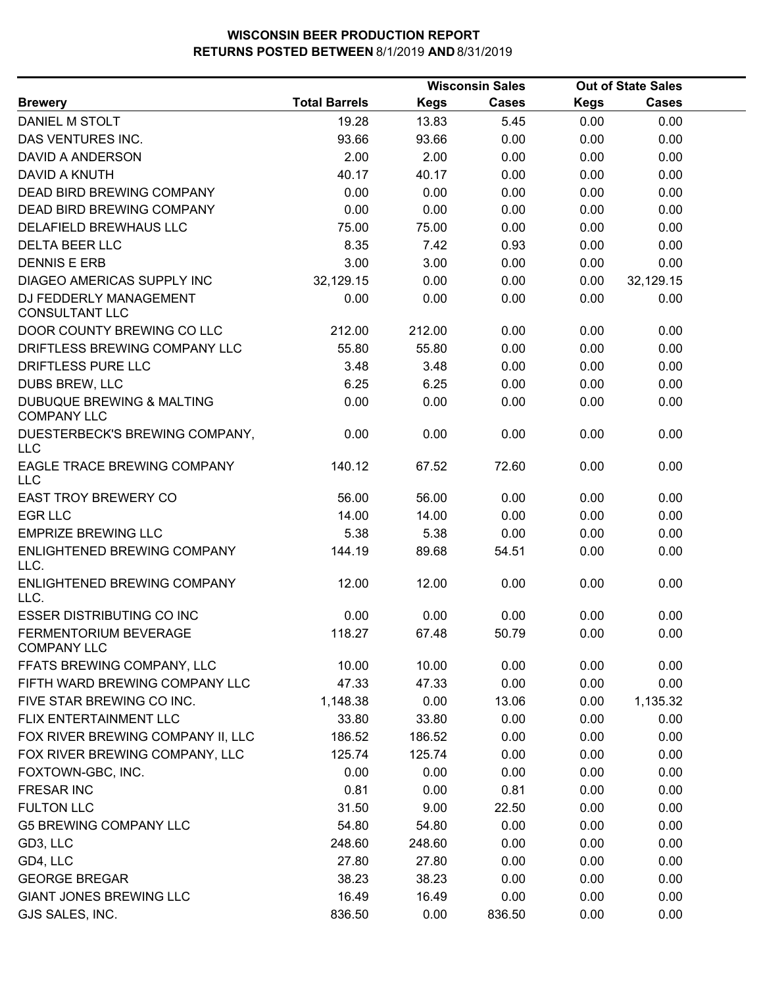|                                                            |                      |             | <b>Wisconsin Sales</b> |             | <b>Out of State Sales</b> |  |
|------------------------------------------------------------|----------------------|-------------|------------------------|-------------|---------------------------|--|
| <b>Brewery</b>                                             | <b>Total Barrels</b> | <b>Kegs</b> | Cases                  | <b>Kegs</b> | <b>Cases</b>              |  |
| DANIEL M STOLT                                             | 19.28                | 13.83       | 5.45                   | 0.00        | 0.00                      |  |
| DAS VENTURES INC.                                          | 93.66                | 93.66       | 0.00                   | 0.00        | 0.00                      |  |
| DAVID A ANDERSON                                           | 2.00                 | 2.00        | 0.00                   | 0.00        | 0.00                      |  |
| DAVID A KNUTH                                              | 40.17                | 40.17       | 0.00                   | 0.00        | 0.00                      |  |
| <b>DEAD BIRD BREWING COMPANY</b>                           | 0.00                 | 0.00        | 0.00                   | 0.00        | 0.00                      |  |
| DEAD BIRD BREWING COMPANY                                  | 0.00                 | 0.00        | 0.00                   | 0.00        | 0.00                      |  |
| DELAFIELD BREWHAUS LLC                                     | 75.00                | 75.00       | 0.00                   | 0.00        | 0.00                      |  |
| <b>DELTA BEER LLC</b>                                      | 8.35                 | 7.42        | 0.93                   | 0.00        | 0.00                      |  |
| <b>DENNIS E ERB</b>                                        | 3.00                 | 3.00        | 0.00                   | 0.00        | 0.00                      |  |
| DIAGEO AMERICAS SUPPLY INC                                 | 32,129.15            | 0.00        | 0.00                   | 0.00        | 32,129.15                 |  |
| DJ FEDDERLY MANAGEMENT<br><b>CONSULTANT LLC</b>            | 0.00                 | 0.00        | 0.00                   | 0.00        | 0.00                      |  |
| DOOR COUNTY BREWING CO LLC                                 | 212.00               | 212.00      | 0.00                   | 0.00        | 0.00                      |  |
| DRIFTLESS BREWING COMPANY LLC                              | 55.80                | 55.80       | 0.00                   | 0.00        | 0.00                      |  |
| DRIFTLESS PURE LLC                                         | 3.48                 | 3.48        | 0.00                   | 0.00        | 0.00                      |  |
| <b>DUBS BREW, LLC</b>                                      | 6.25                 | 6.25        | 0.00                   | 0.00        | 0.00                      |  |
| <b>DUBUQUE BREWING &amp; MALTING</b><br><b>COMPANY LLC</b> | 0.00                 | 0.00        | 0.00                   | 0.00        | 0.00                      |  |
| DUESTERBECK'S BREWING COMPANY,<br>LLC                      | 0.00                 | 0.00        | 0.00                   | 0.00        | 0.00                      |  |
| EAGLE TRACE BREWING COMPANY<br><b>LLC</b>                  | 140.12               | 67.52       | 72.60                  | 0.00        | 0.00                      |  |
| <b>EAST TROY BREWERY CO</b>                                | 56.00                | 56.00       | 0.00                   | 0.00        | 0.00                      |  |
| <b>EGR LLC</b>                                             | 14.00                | 14.00       | 0.00                   | 0.00        | 0.00                      |  |
| <b>EMPRIZE BREWING LLC</b>                                 | 5.38                 | 5.38        | 0.00                   | 0.00        | 0.00                      |  |
| ENLIGHTENED BREWING COMPANY<br>LLC.                        | 144.19               | 89.68       | 54.51                  | 0.00        | 0.00                      |  |
| ENLIGHTENED BREWING COMPANY<br>LLC.                        | 12.00                | 12.00       | 0.00                   | 0.00        | 0.00                      |  |
| <b>ESSER DISTRIBUTING CO INC</b>                           | 0.00                 | 0.00        | 0.00                   | 0.00        | 0.00                      |  |
| FERMENTORIUM BEVERAGE<br><b>COMPANY LLC</b>                | 118.27               | 67.48       | 50.79                  | 0.00        | 0.00                      |  |
| FFATS BREWING COMPANY, LLC                                 | 10.00                | 10.00       | 0.00                   | 0.00        | 0.00                      |  |
| FIFTH WARD BREWING COMPANY LLC                             | 47.33                | 47.33       | 0.00                   | 0.00        | 0.00                      |  |
| FIVE STAR BREWING CO INC.                                  | 1,148.38             | 0.00        | 13.06                  | 0.00        | 1,135.32                  |  |
| FLIX ENTERTAINMENT LLC                                     | 33.80                | 33.80       | 0.00                   | 0.00        | 0.00                      |  |
| FOX RIVER BREWING COMPANY II, LLC                          | 186.52               | 186.52      | 0.00                   | 0.00        | 0.00                      |  |
| FOX RIVER BREWING COMPANY, LLC                             | 125.74               | 125.74      | 0.00                   | 0.00        | 0.00                      |  |
| FOXTOWN-GBC, INC.                                          | 0.00                 | 0.00        | 0.00                   | 0.00        | 0.00                      |  |
| <b>FRESAR INC</b>                                          | 0.81                 | 0.00        | 0.81                   | 0.00        | 0.00                      |  |
| <b>FULTON LLC</b>                                          | 31.50                | 9.00        | 22.50                  | 0.00        | 0.00                      |  |
| <b>G5 BREWING COMPANY LLC</b>                              | 54.80                | 54.80       | 0.00                   | 0.00        | 0.00                      |  |
| GD3, LLC                                                   | 248.60               | 248.60      | 0.00                   | 0.00        | 0.00                      |  |
| GD4, LLC                                                   | 27.80                | 27.80       | 0.00                   | 0.00        | 0.00                      |  |
| <b>GEORGE BREGAR</b>                                       | 38.23                | 38.23       | 0.00                   | 0.00        | 0.00                      |  |
| <b>GIANT JONES BREWING LLC</b>                             | 16.49                | 16.49       | 0.00                   | 0.00        | 0.00                      |  |
| GJS SALES, INC.                                            | 836.50               | 0.00        | 836.50                 | 0.00        | 0.00                      |  |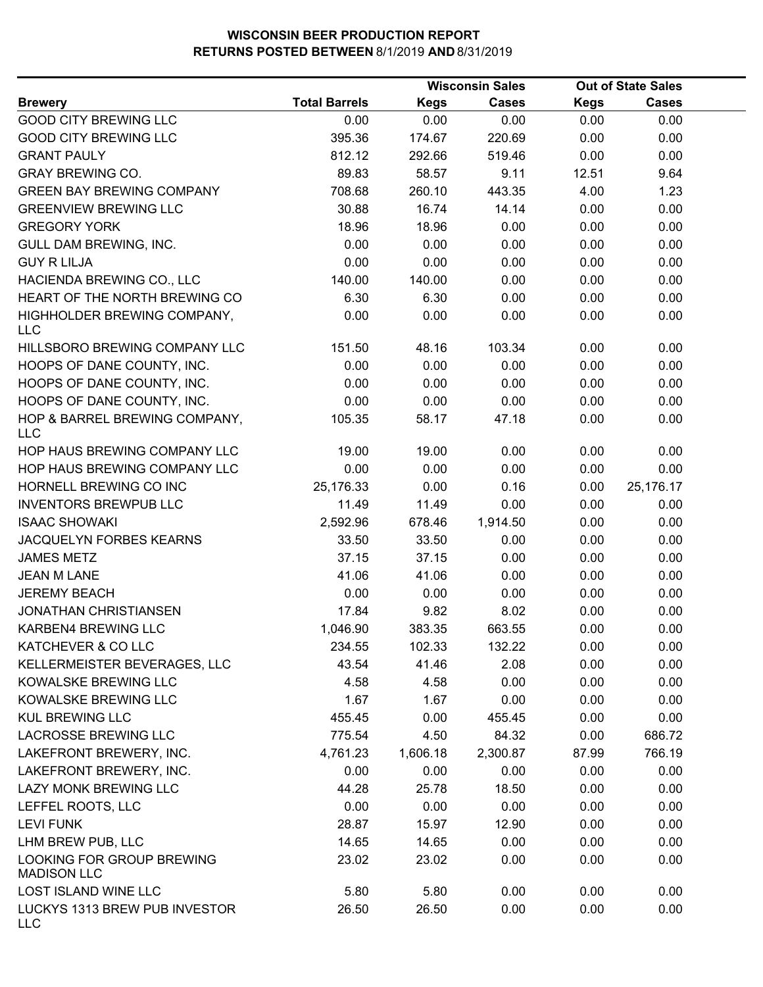|                                                 |                      |             | <b>Wisconsin Sales</b> |             | <b>Out of State Sales</b> |  |
|-------------------------------------------------|----------------------|-------------|------------------------|-------------|---------------------------|--|
| <b>Brewery</b>                                  | <b>Total Barrels</b> | <b>Kegs</b> | Cases                  | <b>Kegs</b> | <b>Cases</b>              |  |
| <b>GOOD CITY BREWING LLC</b>                    | 0.00                 | 0.00        | 0.00                   | 0.00        | 0.00                      |  |
| <b>GOOD CITY BREWING LLC</b>                    | 395.36               | 174.67      | 220.69                 | 0.00        | 0.00                      |  |
| <b>GRANT PAULY</b>                              | 812.12               | 292.66      | 519.46                 | 0.00        | 0.00                      |  |
| <b>GRAY BREWING CO.</b>                         | 89.83                | 58.57       | 9.11                   | 12.51       | 9.64                      |  |
| <b>GREEN BAY BREWING COMPANY</b>                | 708.68               | 260.10      | 443.35                 | 4.00        | 1.23                      |  |
| <b>GREENVIEW BREWING LLC</b>                    | 30.88                | 16.74       | 14.14                  | 0.00        | 0.00                      |  |
| <b>GREGORY YORK</b>                             | 18.96                | 18.96       | 0.00                   | 0.00        | 0.00                      |  |
| GULL DAM BREWING, INC.                          | 0.00                 | 0.00        | 0.00                   | 0.00        | 0.00                      |  |
| <b>GUY R LILJA</b>                              | 0.00                 | 0.00        | 0.00                   | 0.00        | 0.00                      |  |
| HACIENDA BREWING CO., LLC                       | 140.00               | 140.00      | 0.00                   | 0.00        | 0.00                      |  |
| HEART OF THE NORTH BREWING CO                   | 6.30                 | 6.30        | 0.00                   | 0.00        | 0.00                      |  |
| HIGHHOLDER BREWING COMPANY,<br><b>LLC</b>       | 0.00                 | 0.00        | 0.00                   | 0.00        | 0.00                      |  |
| HILLSBORO BREWING COMPANY LLC                   | 151.50               | 48.16       | 103.34                 | 0.00        | 0.00                      |  |
| HOOPS OF DANE COUNTY, INC.                      | 0.00                 | 0.00        | 0.00                   | 0.00        | 0.00                      |  |
| HOOPS OF DANE COUNTY, INC.                      | 0.00                 | 0.00        | 0.00                   | 0.00        | 0.00                      |  |
| HOOPS OF DANE COUNTY, INC.                      | 0.00                 | 0.00        | 0.00                   | 0.00        | 0.00                      |  |
| HOP & BARREL BREWING COMPANY,<br><b>LLC</b>     | 105.35               | 58.17       | 47.18                  | 0.00        | 0.00                      |  |
| HOP HAUS BREWING COMPANY LLC                    | 19.00                | 19.00       | 0.00                   | 0.00        | 0.00                      |  |
| HOP HAUS BREWING COMPANY LLC                    | 0.00                 | 0.00        | 0.00                   | 0.00        | 0.00                      |  |
| HORNELL BREWING CO INC                          | 25,176.33            | 0.00        | 0.16                   | 0.00        | 25,176.17                 |  |
| <b>INVENTORS BREWPUB LLC</b>                    | 11.49                | 11.49       | 0.00                   | 0.00        | 0.00                      |  |
| <b>ISAAC SHOWAKI</b>                            | 2,592.96             | 678.46      | 1,914.50               | 0.00        | 0.00                      |  |
| JACQUELYN FORBES KEARNS                         | 33.50                | 33.50       | 0.00                   | 0.00        | 0.00                      |  |
| <b>JAMES METZ</b>                               | 37.15                | 37.15       | 0.00                   | 0.00        | 0.00                      |  |
| <b>JEAN M LANE</b>                              | 41.06                | 41.06       | 0.00                   | 0.00        | 0.00                      |  |
| <b>JEREMY BEACH</b>                             | 0.00                 | 0.00        | 0.00                   | 0.00        | 0.00                      |  |
| <b>JONATHAN CHRISTIANSEN</b>                    | 17.84                | 9.82        | 8.02                   | 0.00        | 0.00                      |  |
| KARBEN4 BREWING LLC                             | 1,046.90             | 383.35      | 663.55                 | 0.00        | 0.00                      |  |
| KATCHEVER & CO LLC                              | 234.55               | 102.33      | 132.22                 | 0.00        | 0.00                      |  |
| KELLERMEISTER BEVERAGES, LLC                    | 43.54                | 41.46       | 2.08                   | 0.00        | 0.00                      |  |
| KOWALSKE BREWING LLC                            | 4.58                 | 4.58        | 0.00                   | 0.00        | 0.00                      |  |
| KOWALSKE BREWING LLC                            | 1.67                 | 1.67        | 0.00                   | 0.00        | 0.00                      |  |
| <b>KUL BREWING LLC</b>                          | 455.45               | 0.00        | 455.45                 | 0.00        | 0.00                      |  |
| <b>LACROSSE BREWING LLC</b>                     | 775.54               | 4.50        | 84.32                  | 0.00        | 686.72                    |  |
| LAKEFRONT BREWERY, INC.                         | 4,761.23             | 1,606.18    | 2,300.87               | 87.99       | 766.19                    |  |
| LAKEFRONT BREWERY, INC.                         | 0.00                 | 0.00        | 0.00                   | 0.00        | 0.00                      |  |
| LAZY MONK BREWING LLC                           | 44.28                | 25.78       | 18.50                  | 0.00        | 0.00                      |  |
| LEFFEL ROOTS, LLC                               | 0.00                 | 0.00        | 0.00                   | 0.00        | 0.00                      |  |
| <b>LEVI FUNK</b>                                | 28.87                | 15.97       | 12.90                  | 0.00        | 0.00                      |  |
| LHM BREW PUB, LLC                               | 14.65                | 14.65       | 0.00                   | 0.00        | 0.00                      |  |
| LOOKING FOR GROUP BREWING<br><b>MADISON LLC</b> | 23.02                | 23.02       | 0.00                   | 0.00        | 0.00                      |  |
| LOST ISLAND WINE LLC                            | 5.80                 | 5.80        | 0.00                   | 0.00        | 0.00                      |  |
| LUCKYS 1313 BREW PUB INVESTOR<br><b>LLC</b>     | 26.50                | 26.50       | 0.00                   | 0.00        | 0.00                      |  |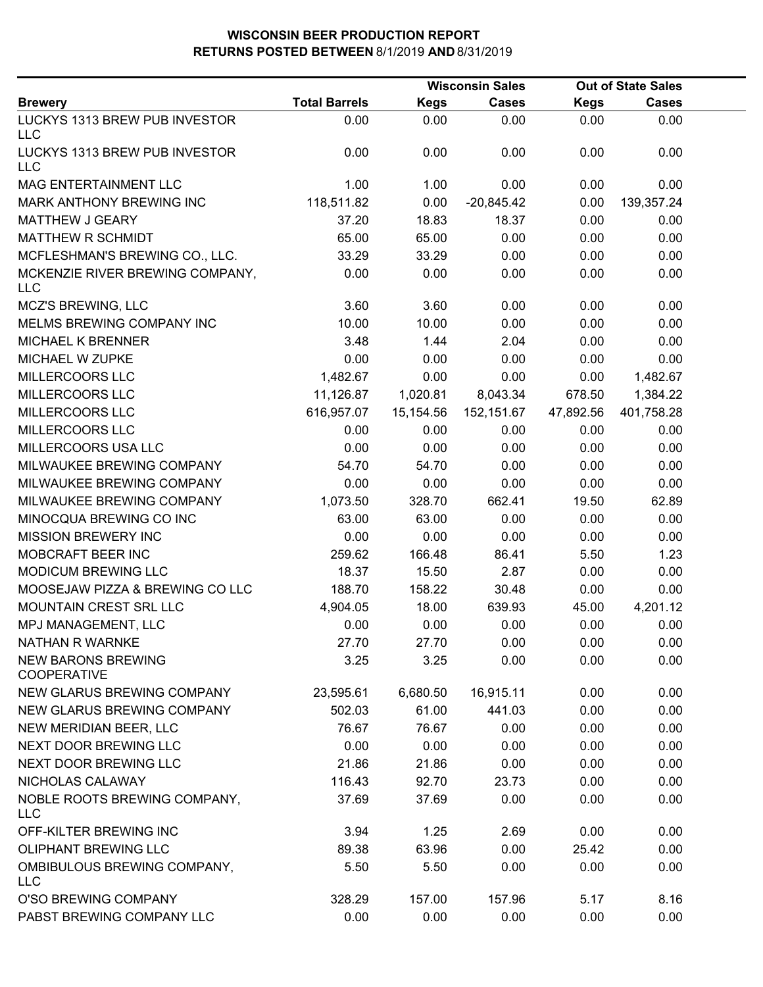|                                                 |                      |             | <b>Wisconsin Sales</b> |             | <b>Out of State Sales</b> |  |
|-------------------------------------------------|----------------------|-------------|------------------------|-------------|---------------------------|--|
| <b>Brewery</b>                                  | <b>Total Barrels</b> | <b>Kegs</b> | <b>Cases</b>           | <b>Kegs</b> | <b>Cases</b>              |  |
| LUCKYS 1313 BREW PUB INVESTOR<br><b>LLC</b>     | 0.00                 | 0.00        | 0.00                   | 0.00        | 0.00                      |  |
| LUCKYS 1313 BREW PUB INVESTOR<br><b>LLC</b>     | 0.00                 | 0.00        | 0.00                   | 0.00        | 0.00                      |  |
| MAG ENTERTAINMENT LLC                           | 1.00                 | 1.00        | 0.00                   | 0.00        | 0.00                      |  |
| MARK ANTHONY BREWING INC                        | 118,511.82           | 0.00        | $-20,845.42$           | 0.00        | 139,357.24                |  |
| MATTHEW J GEARY                                 | 37.20                | 18.83       | 18.37                  | 0.00        | 0.00                      |  |
| MATTHEW R SCHMIDT                               | 65.00                | 65.00       | 0.00                   | 0.00        | 0.00                      |  |
| MCFLESHMAN'S BREWING CO., LLC.                  | 33.29                | 33.29       | 0.00                   | 0.00        | 0.00                      |  |
| MCKENZIE RIVER BREWING COMPANY,<br><b>LLC</b>   | 0.00                 | 0.00        | 0.00                   | 0.00        | 0.00                      |  |
| MCZ'S BREWING, LLC                              | 3.60                 | 3.60        | 0.00                   | 0.00        | 0.00                      |  |
| MELMS BREWING COMPANY INC                       | 10.00                | 10.00       | 0.00                   | 0.00        | 0.00                      |  |
| <b>MICHAEL K BRENNER</b>                        | 3.48                 | 1.44        | 2.04                   | 0.00        | 0.00                      |  |
| MICHAEL W ZUPKE                                 | 0.00                 | 0.00        | 0.00                   | 0.00        | 0.00                      |  |
| MILLERCOORS LLC                                 | 1,482.67             | 0.00        | 0.00                   | 0.00        | 1,482.67                  |  |
| MILLERCOORS LLC                                 | 11,126.87            | 1,020.81    | 8,043.34               | 678.50      | 1,384.22                  |  |
| MILLERCOORS LLC                                 | 616,957.07           | 15,154.56   | 152,151.67             | 47,892.56   | 401,758.28                |  |
| MILLERCOORS LLC                                 | 0.00                 | 0.00        | 0.00                   | 0.00        | 0.00                      |  |
| MILLERCOORS USA LLC                             | 0.00                 | 0.00        | 0.00                   | 0.00        | 0.00                      |  |
| MILWAUKEE BREWING COMPANY                       | 54.70                | 54.70       | 0.00                   | 0.00        | 0.00                      |  |
| MILWAUKEE BREWING COMPANY                       | 0.00                 | 0.00        | 0.00                   | 0.00        | 0.00                      |  |
| MILWAUKEE BREWING COMPANY                       | 1,073.50             | 328.70      | 662.41                 | 19.50       | 62.89                     |  |
| MINOCQUA BREWING CO INC                         | 63.00                | 63.00       | 0.00                   | 0.00        | 0.00                      |  |
| <b>MISSION BREWERY INC</b>                      | 0.00                 | 0.00        | 0.00                   | 0.00        | 0.00                      |  |
| MOBCRAFT BEER INC                               | 259.62               | 166.48      | 86.41                  | 5.50        | 1.23                      |  |
| MODICUM BREWING LLC                             | 18.37                | 15.50       | 2.87                   | 0.00        | 0.00                      |  |
| MOOSEJAW PIZZA & BREWING CO LLC                 | 188.70               | 158.22      | 30.48                  | 0.00        | 0.00                      |  |
| MOUNTAIN CREST SRL LLC                          | 4,904.05             | 18.00       | 639.93                 | 45.00       | 4,201.12                  |  |
| MPJ MANAGEMENT, LLC                             | 0.00                 | 0.00        | 0.00                   | 0.00        | 0.00                      |  |
| <b>NATHAN R WARNKE</b>                          | 27.70                | 27.70       | 0.00                   | 0.00        | 0.00                      |  |
| <b>NEW BARONS BREWING</b><br><b>COOPERATIVE</b> | 3.25                 | 3.25        | 0.00                   | 0.00        | 0.00                      |  |
| NEW GLARUS BREWING COMPANY                      | 23,595.61            | 6,680.50    | 16,915.11              | 0.00        | 0.00                      |  |
| NEW GLARUS BREWING COMPANY                      | 502.03               | 61.00       | 441.03                 | 0.00        | 0.00                      |  |
| NEW MERIDIAN BEER, LLC                          | 76.67                | 76.67       | 0.00                   | 0.00        | 0.00                      |  |
| NEXT DOOR BREWING LLC                           | 0.00                 | 0.00        | 0.00                   | 0.00        | 0.00                      |  |
| NEXT DOOR BREWING LLC                           | 21.86                | 21.86       | 0.00                   | 0.00        | 0.00                      |  |
| NICHOLAS CALAWAY                                | 116.43               | 92.70       | 23.73                  | 0.00        | 0.00                      |  |
| NOBLE ROOTS BREWING COMPANY,<br><b>LLC</b>      | 37.69                | 37.69       | 0.00                   | 0.00        | 0.00                      |  |
| OFF-KILTER BREWING INC                          | 3.94                 | 1.25        | 2.69                   | 0.00        | 0.00                      |  |
| <b>OLIPHANT BREWING LLC</b>                     | 89.38                | 63.96       | 0.00                   | 25.42       | 0.00                      |  |
| OMBIBULOUS BREWING COMPANY,<br><b>LLC</b>       | 5.50                 | 5.50        | 0.00                   | 0.00        | 0.00                      |  |
| O'SO BREWING COMPANY                            | 328.29               | 157.00      | 157.96                 | 5.17        | 8.16                      |  |
| PABST BREWING COMPANY LLC                       | 0.00                 | 0.00        | 0.00                   | 0.00        | 0.00                      |  |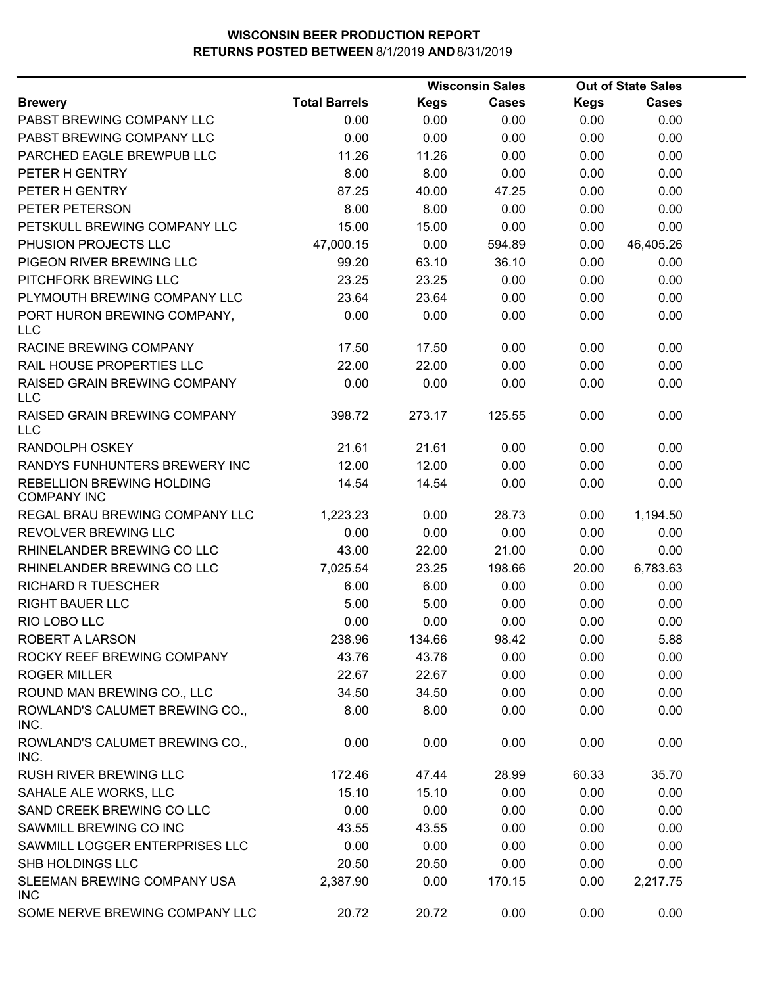|                                                 |                      |             | <b>Wisconsin Sales</b> |             | <b>Out of State Sales</b> |  |
|-------------------------------------------------|----------------------|-------------|------------------------|-------------|---------------------------|--|
| <b>Brewery</b>                                  | <b>Total Barrels</b> | <b>Kegs</b> | <b>Cases</b>           | <b>Kegs</b> | <b>Cases</b>              |  |
| PABST BREWING COMPANY LLC                       | 0.00                 | 0.00        | 0.00                   | 0.00        | 0.00                      |  |
| PABST BREWING COMPANY LLC                       | 0.00                 | 0.00        | 0.00                   | 0.00        | 0.00                      |  |
| PARCHED EAGLE BREWPUB LLC                       | 11.26                | 11.26       | 0.00                   | 0.00        | 0.00                      |  |
| PETER H GENTRY                                  | 8.00                 | 8.00        | 0.00                   | 0.00        | 0.00                      |  |
| PETER H GENTRY                                  | 87.25                | 40.00       | 47.25                  | 0.00        | 0.00                      |  |
| PETER PETERSON                                  | 8.00                 | 8.00        | 0.00                   | 0.00        | 0.00                      |  |
| PETSKULL BREWING COMPANY LLC                    | 15.00                | 15.00       | 0.00                   | 0.00        | 0.00                      |  |
| PHUSION PROJECTS LLC                            | 47,000.15            | 0.00        | 594.89                 | 0.00        | 46,405.26                 |  |
| PIGEON RIVER BREWING LLC                        | 99.20                | 63.10       | 36.10                  | 0.00        | 0.00                      |  |
| PITCHFORK BREWING LLC                           | 23.25                | 23.25       | 0.00                   | 0.00        | 0.00                      |  |
| PLYMOUTH BREWING COMPANY LLC                    | 23.64                | 23.64       | 0.00                   | 0.00        | 0.00                      |  |
| PORT HURON BREWING COMPANY,<br><b>LLC</b>       | 0.00                 | 0.00        | 0.00                   | 0.00        | 0.00                      |  |
| RACINE BREWING COMPANY                          | 17.50                | 17.50       | 0.00                   | 0.00        | 0.00                      |  |
| RAIL HOUSE PROPERTIES LLC                       | 22.00                | 22.00       | 0.00                   | 0.00        | 0.00                      |  |
| RAISED GRAIN BREWING COMPANY<br><b>LLC</b>      | 0.00                 | 0.00        | 0.00                   | 0.00        | 0.00                      |  |
| RAISED GRAIN BREWING COMPANY<br><b>LLC</b>      | 398.72               | 273.17      | 125.55                 | 0.00        | 0.00                      |  |
| <b>RANDOLPH OSKEY</b>                           | 21.61                | 21.61       | 0.00                   | 0.00        | 0.00                      |  |
| RANDYS FUNHUNTERS BREWERY INC                   | 12.00                | 12.00       | 0.00                   | 0.00        | 0.00                      |  |
| REBELLION BREWING HOLDING<br><b>COMPANY INC</b> | 14.54                | 14.54       | 0.00                   | 0.00        | 0.00                      |  |
| REGAL BRAU BREWING COMPANY LLC                  | 1,223.23             | 0.00        | 28.73                  | 0.00        | 1,194.50                  |  |
| REVOLVER BREWING LLC                            | 0.00                 | 0.00        | 0.00                   | 0.00        | 0.00                      |  |
| RHINELANDER BREWING CO LLC                      | 43.00                | 22.00       | 21.00                  | 0.00        | 0.00                      |  |
| RHINELANDER BREWING CO LLC                      | 7,025.54             | 23.25       | 198.66                 | 20.00       | 6,783.63                  |  |
| <b>RICHARD R TUESCHER</b>                       | 6.00                 | 6.00        | 0.00                   | 0.00        | 0.00                      |  |
| <b>RIGHT BAUER LLC</b>                          | 5.00                 | 5.00        | 0.00                   | 0.00        | 0.00                      |  |
| RIO LOBO LLC                                    | 0.00                 | 0.00        | 0.00                   | 0.00        | 0.00                      |  |
| ROBERT A LARSON                                 | 238.96               | 134.66      | 98.42                  | 0.00        | 5.88                      |  |
| ROCKY REEF BREWING COMPANY                      | 43.76                | 43.76       | 0.00                   | 0.00        | 0.00                      |  |
| <b>ROGER MILLER</b>                             | 22.67                | 22.67       | 0.00                   | 0.00        | 0.00                      |  |
| ROUND MAN BREWING CO., LLC                      | 34.50                | 34.50       | 0.00                   | 0.00        | 0.00                      |  |
| ROWLAND'S CALUMET BREWING CO.,<br>INC.          | 8.00                 | 8.00        | 0.00                   | 0.00        | 0.00                      |  |
| ROWLAND'S CALUMET BREWING CO.,<br>INC.          | 0.00                 | 0.00        | 0.00                   | 0.00        | 0.00                      |  |
| <b>RUSH RIVER BREWING LLC</b>                   | 172.46               | 47.44       | 28.99                  | 60.33       | 35.70                     |  |
| SAHALE ALE WORKS, LLC                           | 15.10                | 15.10       | 0.00                   | 0.00        | 0.00                      |  |
| SAND CREEK BREWING CO LLC                       | 0.00                 | 0.00        | 0.00                   | 0.00        | 0.00                      |  |
| SAWMILL BREWING CO INC                          | 43.55                | 43.55       | 0.00                   | 0.00        | 0.00                      |  |
| SAWMILL LOGGER ENTERPRISES LLC                  | 0.00                 | 0.00        | 0.00                   | 0.00        | 0.00                      |  |
| SHB HOLDINGS LLC                                | 20.50                | 20.50       | 0.00                   | 0.00        | 0.00                      |  |
| SLEEMAN BREWING COMPANY USA<br><b>INC</b>       | 2,387.90             | 0.00        | 170.15                 | 0.00        | 2,217.75                  |  |
| SOME NERVE BREWING COMPANY LLC                  | 20.72                | 20.72       | 0.00                   | 0.00        | 0.00                      |  |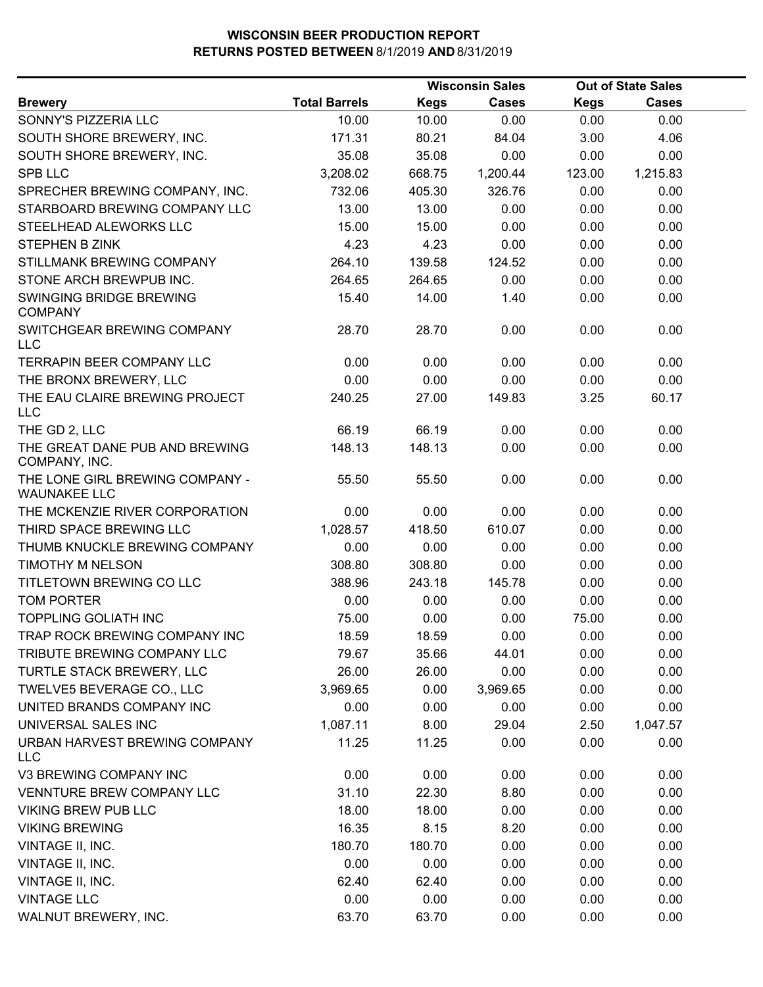|                                                        |                      |             | <b>Wisconsin Sales</b> |             | <b>Out of State Sales</b> |  |
|--------------------------------------------------------|----------------------|-------------|------------------------|-------------|---------------------------|--|
| <b>Brewery</b>                                         | <b>Total Barrels</b> | <b>Kegs</b> | <b>Cases</b>           | <b>Kegs</b> | <b>Cases</b>              |  |
| SONNY'S PIZZERIA LLC                                   | 10.00                | 10.00       | 0.00                   | 0.00        | 0.00                      |  |
| SOUTH SHORE BREWERY, INC.                              | 171.31               | 80.21       | 84.04                  | 3.00        | 4.06                      |  |
| SOUTH SHORE BREWERY, INC.                              | 35.08                | 35.08       | 0.00                   | 0.00        | 0.00                      |  |
| <b>SPB LLC</b>                                         | 3,208.02             | 668.75      | 1,200.44               | 123.00      | 1,215.83                  |  |
| SPRECHER BREWING COMPANY, INC.                         | 732.06               | 405.30      | 326.76                 | 0.00        | 0.00                      |  |
| STARBOARD BREWING COMPANY LLC                          | 13.00                | 13.00       | 0.00                   | 0.00        | 0.00                      |  |
| STEELHEAD ALEWORKS LLC                                 | 15.00                | 15.00       | 0.00                   | 0.00        | 0.00                      |  |
| <b>STEPHEN B ZINK</b>                                  | 4.23                 | 4.23        | 0.00                   | 0.00        | 0.00                      |  |
| STILLMANK BREWING COMPANY                              | 264.10               | 139.58      | 124.52                 | 0.00        | 0.00                      |  |
| STONE ARCH BREWPUB INC.                                | 264.65               | 264.65      | 0.00                   | 0.00        | 0.00                      |  |
| SWINGING BRIDGE BREWING<br><b>COMPANY</b>              | 15.40                | 14.00       | 1.40                   | 0.00        | 0.00                      |  |
| SWITCHGEAR BREWING COMPANY<br><b>LLC</b>               | 28.70                | 28.70       | 0.00                   | 0.00        | 0.00                      |  |
| <b>TERRAPIN BEER COMPANY LLC</b>                       | 0.00                 | 0.00        | 0.00                   | 0.00        | 0.00                      |  |
| THE BRONX BREWERY, LLC                                 | 0.00                 | 0.00        | 0.00                   | 0.00        | 0.00                      |  |
| THE EAU CLAIRE BREWING PROJECT<br><b>LLC</b>           | 240.25               | 27.00       | 149.83                 | 3.25        | 60.17                     |  |
| THE GD 2, LLC                                          | 66.19                | 66.19       | 0.00                   | 0.00        | 0.00                      |  |
| THE GREAT DANE PUB AND BREWING<br>COMPANY, INC.        | 148.13               | 148.13      | 0.00                   | 0.00        | 0.00                      |  |
| THE LONE GIRL BREWING COMPANY -<br><b>WAUNAKEE LLC</b> | 55.50                | 55.50       | 0.00                   | 0.00        | 0.00                      |  |
| THE MCKENZIE RIVER CORPORATION                         | 0.00                 | 0.00        | 0.00                   | 0.00        | 0.00                      |  |
| THIRD SPACE BREWING LLC                                | 1,028.57             | 418.50      | 610.07                 | 0.00        | 0.00                      |  |
| THUMB KNUCKLE BREWING COMPANY                          | 0.00                 | 0.00        | 0.00                   | 0.00        | 0.00                      |  |
| <b>TIMOTHY M NELSON</b>                                | 308.80               | 308.80      | 0.00                   | 0.00        | 0.00                      |  |
| TITLETOWN BREWING CO LLC                               | 388.96               | 243.18      | 145.78                 | 0.00        | 0.00                      |  |
| <b>TOM PORTER</b>                                      | 0.00                 | 0.00        | 0.00                   | 0.00        | 0.00                      |  |
| <b>TOPPLING GOLIATH INC</b>                            | 75.00                | 0.00        | 0.00                   | 75.00       | 0.00                      |  |
| TRAP ROCK BREWING COMPANY INC                          | 18.59                | 18.59       | 0.00                   | 0.00        | 0.00                      |  |
| TRIBUTE BREWING COMPANY LLC                            | 79.67                | 35.66       | 44.01                  | 0.00        | 0.00                      |  |
| TURTLE STACK BREWERY, LLC                              | 26.00                | 26.00       | 0.00                   | 0.00        | 0.00                      |  |
| TWELVE5 BEVERAGE CO., LLC                              | 3,969.65             | 0.00        | 3,969.65               | 0.00        | 0.00                      |  |
| UNITED BRANDS COMPANY INC                              | 0.00                 | 0.00        | 0.00                   | 0.00        | 0.00                      |  |
| UNIVERSAL SALES INC                                    | 1,087.11             | 8.00        | 29.04                  | 2.50        | 1,047.57                  |  |
| URBAN HARVEST BREWING COMPANY<br><b>LLC</b>            | 11.25                | 11.25       | 0.00                   | 0.00        | 0.00                      |  |
| V3 BREWING COMPANY INC                                 | 0.00                 | 0.00        | 0.00                   | 0.00        | 0.00                      |  |
| VENNTURE BREW COMPANY LLC                              | 31.10                | 22.30       | 8.80                   | 0.00        | 0.00                      |  |
| <b>VIKING BREW PUB LLC</b>                             | 18.00                | 18.00       | 0.00                   | 0.00        | 0.00                      |  |
| <b>VIKING BREWING</b>                                  | 16.35                | 8.15        | 8.20                   | 0.00        | 0.00                      |  |
| VINTAGE II, INC.                                       | 180.70               | 180.70      | 0.00                   | 0.00        | 0.00                      |  |
| VINTAGE II, INC.                                       | 0.00                 | 0.00        | 0.00                   | 0.00        | 0.00                      |  |
| VINTAGE II, INC.                                       | 62.40                | 62.40       | 0.00                   | 0.00        | 0.00                      |  |
| <b>VINTAGE LLC</b>                                     | 0.00                 | 0.00        | 0.00                   | 0.00        | 0.00                      |  |
| WALNUT BREWERY, INC.                                   | 63.70                | 63.70       | 0.00                   | 0.00        | 0.00                      |  |